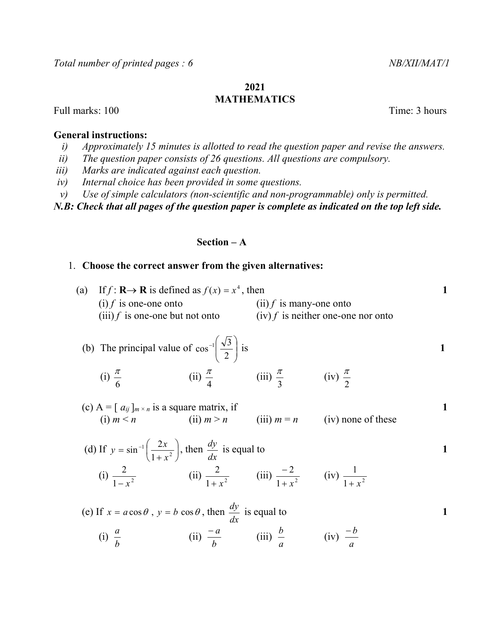#### 2021 MATHEMATICS

Full marks: 100 Time: 3 hours

### General instructions:

6

- i) Approximately 15 minutes is allotted to read the question paper and revise the answers.
- ii) The question paper consists of 26 questions. All questions are compulsory.
- iii) Marks are indicated against each question.
- iv) Internal choice has been provided in some questions.
- v) Use of simple calculators (non-scientific and non-programmable) only is permitted.

N.B: Check that all pages of the question paper is complete as indicated on the top left side.

# Section – A

# 1. Choose the correct answer from the given alternatives:

4

| (a) If $f: \mathbf{R} \to \mathbf{R}$ is defined as $f(x) = x^4$ , then |                                      |  |
|-------------------------------------------------------------------------|--------------------------------------|--|
| $(i) f$ is one-one onto                                                 | $(ii)$ f is many-one onto            |  |
| $(iii) f$ is one-one but not onto                                       | $(iv) f$ is neither one-one nor onto |  |

(b) The principal value of 
$$
\cos^{-1}\left(\frac{\sqrt{3}}{2}\right)
$$
 is  
\n(i)  $\frac{\pi}{4}$  (ii)  $\frac{\pi}{4}$  (iii)  $\frac{\pi}{4}$  (iv)  $\frac{\pi}{4}$ 

3

2

(c) 
$$
A = [a_{ij}]_{m \times n}
$$
 is a square matrix, if  
\n(i)  $m < n$  (ii)  $m > n$  (iii)  $m = n$  (iv) none of these

(d) If 
$$
y = \sin^{-1} \left( \frac{2x}{1 + x^2} \right)
$$
, then  $\frac{dy}{dx}$  is equal to  
\n(i)  $\frac{2}{1 - x^2}$  (ii)  $\frac{2}{1 + x^2}$  (iii)  $\frac{-2}{1 + x^2}$  (iv)  $\frac{1}{1 + x^2}$ 

(e) If  $x = a \cos \theta$ ,  $y = b \cos \theta$ , then dx  $\frac{dy}{dx}$  is equal to 1

 (i) b  $\frac{a}{i}$  (ii) b  $\frac{-a}{i}$  (iii) a  $\frac{b}{c}$  (iv) a  $-b$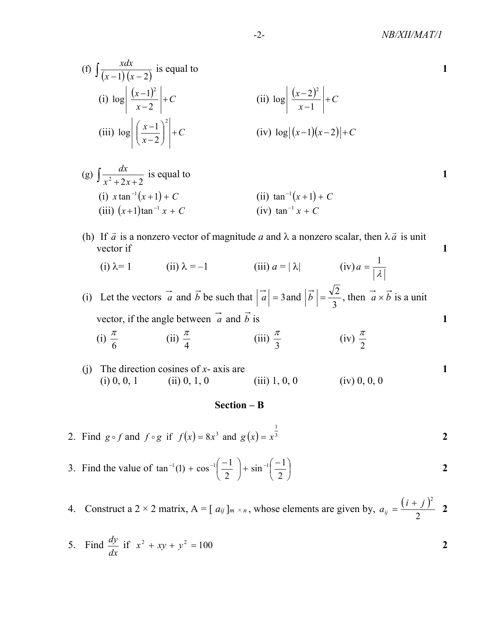$$
\text{(f)} \int \frac{xdx}{(x-1)(x-2)} \text{ is equal to}
$$
\n
$$
\text{(i)} \log \left| \frac{(x-1)^2}{x-2} \right| + C
$$
\n
$$
\text{(ii)} \log \left| \left( \frac{x-1}{x-2} \right)^2 \right| + C
$$
\n
$$
\text{(iii)} \log \left| \left( \frac{x-1}{x-2} \right)^2 \right| + C
$$
\n
$$
\text{(iv)} \log \left| (x-1)(x-2) \right| + C
$$

- (g)  $\int \frac{dx}{x^2 + 2x + 2}$  $\frac{dx}{dx}$  is equal to 1 (i)  $x \tan^{-1}(x+1) + C$ (ii)  $\tan^{-1}(x+1) + C$ (iii)  $(x+1)$ tan<sup>-1</sup> x + C 1) tan<sup>-1</sup> x + C (iv) tan<sup>-1</sup> x + C
	- (h) If  $\vec{a}$  is a nonzero vector of magnitude a and  $\lambda$  a nonzero scalar, then  $\lambda \vec{a}$  is unit vector if 1
		- (i)  $\lambda = 1$  (ii)  $\lambda = -1$  (iii)  $a = |\lambda|$ λ  $a = \frac{1}{16}$

(i) Let the vectors a and b be such that  $|a| = 3$  and 3  $|\vec{b}| = \frac{\sqrt{2}}{2}$ , then  $\vec{a} \times \vec{b}$  is a unit vector, if the angle between  $\vec{a}$  and  $\vec{b}$  is 1 ector of magnitude *a* and  $\lambda$  a nonzero scalar, then  $\lambda \vec{a}$  is unit<br>  $\lambda = -1$  (iii)  $a = |\lambda|$  (iv)  $a = \frac{1}{|\lambda|}$ <br>
and  $\vec{b}$  be such that  $|\vec{a}| = 3$  and  $|\vec{b}| = \frac{\sqrt{2}}{3}$ , then  $\vec{a} \times \vec{b}$  is a unit<br>
between  $\vec{a}$ 

- (i) 6 π (ii) 4 π (iii) 3  $\frac{\pi}{2}$  (iv) 2 π
- (i) The direction cosines of  $x$  axis are 1 (i) 0, 0, 1 (ii) 0, 1, 0 (iii) 1, 0, 0 (iv) 0, 0, 0

### Section – B

- 2. Find  $g \circ f$  and  $f \circ g$  if  $f(x) = 8x^3$  and  $g(x) = x^3$  $g(x) = x^3$  2
- 3. Find the value of  $\tan^{-1}(1) + \cos^{-1}\left(\frac{-1}{2}\right) + \sin^{-1}\left(\frac{-1}{2}\right)$ J  $\left(\frac{-1}{2}\right)$ L  $\left| + \sin^{-1} \right| =$ J  $\left(\frac{-1}{2}\right)$ L  $e^{-1}(1) + \cos^{-1}\left(\frac{-1}{2}\right) + \sin^{-1}\left(\frac{1}{2}\right)$ 2  $\sin^{-1}\left(\frac{-1}{2}\right)$ 2  $\tan^{-1}(1) + \cos^{-1}\left(\frac{-1}{2}\right) + \sin^{-1}\left(\frac{-1}{2}\right)$  2

1

- 4. Construct a 2 × 2 matrix,  $A = [a_{ij}]_{m \times n}$ , whose elements are given by,  $a_{ii} = \frac{(i+j)^2}{2}$  2 2  $a_{ij} = \frac{(i+j)^2}{2}$  2
- 5. Find dx  $\frac{dy}{dx}$  if  $x^2 + xy + y^2 = 100$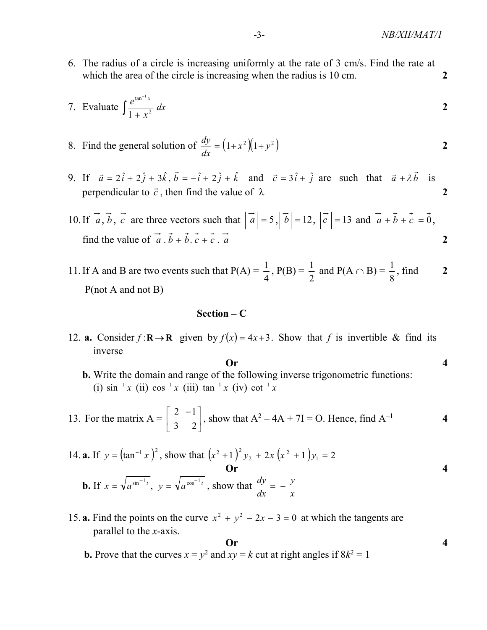6. The radius of a circle is increasing uniformly at the rate of 3 cm/s. Find the rate at which the area of the circle is increasing when the radius is 10 cm.

7. Evaluate 
$$
\int \frac{e^{\tan^{-1}x}}{1+x^2} dx
$$
 2

8. Find the general solution of  $\frac{dy}{dx} = (1 + x^2)(1 + y^2)$ dx  $\frac{dy}{dx} = (1 + x^2)(1 + y^2)$  2

9. If  $\vec{a} = 2\hat{i} + 2\hat{j} + 3\hat{k}$ ,  $\vec{b} = -\hat{i} + 2\hat{j} + \hat{k}$  and  $\vec{c} = 3\hat{i} + \hat{j}$  are such that  $\vec{a} + \lambda \vec{b}$  is perpendicular to  $\vec{c}$ , then find the value of  $\lambda$  2

10. If  $\vec{a}$ ,  $\vec{b}$ ,  $\vec{c}$  are three vectors such that  $|\vec{a}| = 5$ ,  $|\vec{b}| = 12$ ,  $|\vec{c}| = 13$  and  $\vec{a} + \vec{b} + \vec{c} = \vec{0}$ , find the value of  $\vec{a} \cdot \vec{b} + \vec{b} \cdot \vec{c} + \vec{c} \cdot \vec{a}$  2

11. If A and B are two events such that  $P(A) =$ 4  $\frac{1}{4}$ , P(B) = 2  $\frac{1}{2}$  and P(A  $\cap$  B) = 8  $\frac{1}{2}$ , find 2 P(not A and not B)

### Section – C

12. **a.** Consider  $f: \mathbb{R} \to \mathbb{R}$  given by  $f(x) = 4x + 3$ . Show that f is invertible & find its inverse

**20.**  
**b.** Write the domain and range of the following inverse trigonometric functions:  
(i) 
$$
\sin^{-1} x
$$
 (ii)  $\cos^{-1} x$  (iii)  $\tan^{-1} x$  (iv)  $\cot^{-1} x$ 

13. For the matrix 
$$
A = \begin{bmatrix} 2 & -1 \\ 3 & 2 \end{bmatrix}
$$
, show that  $A^2 - 4A + 7I = O$ . Hence, find  $A^{-1}$  4

14. **a.** If 
$$
y = (\tan^{-1} x)^2
$$
, show that  $(x^2 + 1)^2 y_2 + 2x (x^2 + 1) y_1 = 2$   
\n**Or**  
\n**b.** If  $x = \sqrt{a^{\sin^{-1} t}}$ ,  $y = \sqrt{a^{\cos^{-1} t}}$ , show that  $\frac{dy}{dx} = -\frac{y}{x}$ 

15. **a.** Find the points on the curve  $x^2 + y^2 - 2x - 3 = 0$  at which the tangents are parallel to the x-axis.

**2.1 1.2** Prove that the curves 
$$
x = y^2
$$
 and  $xy = k$  cut at right angles if  $8k^2 = 1$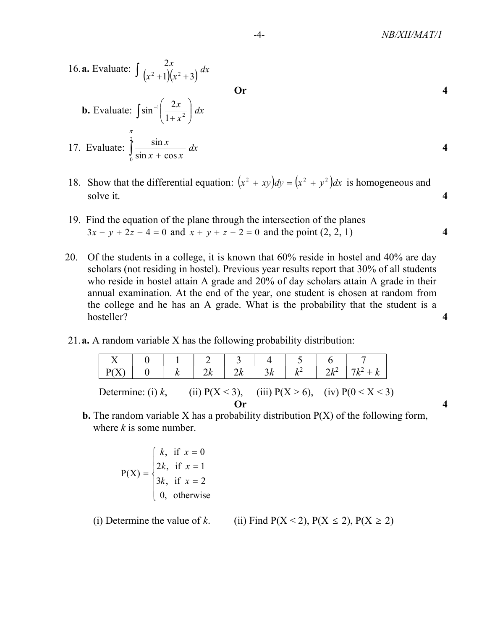16. **a.** Evaluate: 
$$
\int \frac{2x}{(x^2 + 1)(x^2 + 3)} dx
$$
 **Or**  
**b.** Evaluate: 
$$
\int \sin^{-1} \left(\frac{2x}{1 + x^2}\right) dx
$$
  
17. Evaluate: 
$$
\int_0^{\frac{\pi}{2}} \frac{\sin x}{\sin x + \cos x} dx
$$

- 18. Show that the differential equation:  $(x^2 + xy)dy = (x^2 + y^2)dx$  is homogeneous and solve it. 4
	- 19. Find the equation of the plane through the intersection of the planes  $3x - y + 2z - 4 = 0$  and  $x + y + z - 2 = 0$  and the point  $(2, 2, 1)$
	- 20. Of the students in a college, it is known that 60% reside in hostel and 40% are day scholars (not residing in hostel). Previous year results report that 30% of all students who reside in hostel attain A grade and 20% of day scholars attain A grade in their annual examination. At the end of the year, one student is chosen at random from the college and he has an A grade. What is the probability that the student is a hosteller? 4
	- 21.a. A random variable X has the following probability distribution:

|                                                                                     |  |  |  | 2k |  |  | $2l^2$ |  |  |
|-------------------------------------------------------------------------------------|--|--|--|----|--|--|--------|--|--|
| (iii) $P(X > 6)$ , (iv) $P(0 < X < 3)$<br>(ii) $P(X < 3)$ ,<br>Determine: (i) $k$ , |  |  |  |    |  |  |        |  |  |
| Or                                                                                  |  |  |  |    |  |  |        |  |  |

**b.** The random variable X has a probability distribution  $P(X)$  of the following form, where  $k$  is some number.

$$
P(X) = \begin{cases} k, & \text{if } x = 0 \\ 2k, & \text{if } x = 1 \\ 3k, & \text{if } x = 2 \\ 0, & \text{otherwise} \end{cases}
$$

(i) Determine the value of k. (ii) Find  $P(X < 2)$ ,  $P(X \le 2)$ ,  $P(X \ge 2)$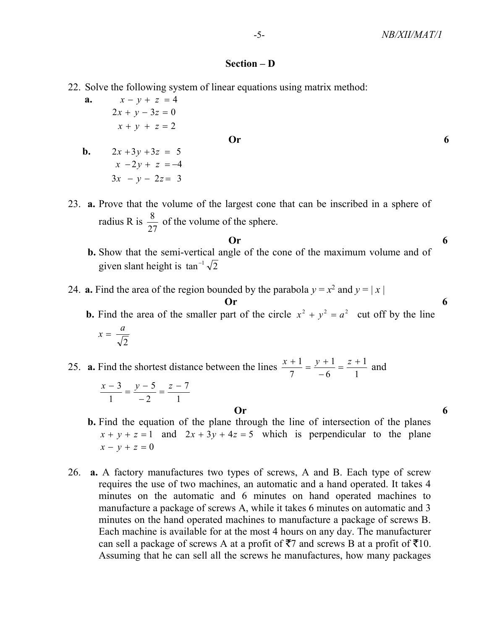#### Section – D

- 22. Solve the following system of linear equations using matrix method:
	- **a.**  $x y + z = 4$  $x + y + z = 2$  $2x + y - 3z = 0$

### $\overline{\text{Or}}$  6

- **b.**  $2x + 3y + 3z = 5$  $3x - y - 2z = 3$  $x - 2y + z = -4$
- 23. a. Prove that the volume of the largest cone that can be inscribed in a sphere of radius R is 27  $\frac{8}{2}$  of the volume of the sphere.
- $\overline{\text{Or}}$  6 b. Show that the semi-vertical angle of the cone of the maximum volume and of given slant height is  $\tan^{-1}\sqrt{2}$

24. **a.** Find the area of the region bounded by the parabola  $y = x^2$  and  $y = |x|$  $\overline{\text{Or}}$  6

**b.** Find the area of the smaller part of the circle  $x^2 + y^2 = a^2$  cut off by the line

$$
x = \frac{a}{\sqrt{2}}
$$

25. a. Find the shortest distance between the lines 1 1 6 1 7  $\frac{1}{z} = \frac{y+1}{z} = \frac{z+1}{z+1}$  $\overline{a}$  $\frac{x+1}{z} = \frac{y+1}{z} = \frac{z+1}{z}$  and

$$
\frac{x-3}{1} = \frac{y-5}{-2} = \frac{z-7}{1}
$$

- $\overline{\text{Or}}$  6
	- b. Find the equation of the plane through the line of intersection of the planes  $x + y + z = 1$  and  $2x + 3y + 4z = 5$  which is perpendicular to the plane  $x - y + z = 0$
	- 26. a. A factory manufactures two types of screws, A and B. Each type of screw requires the use of two machines, an automatic and a hand operated. It takes 4 minutes on the automatic and 6 minutes on hand operated machines to manufacture a package of screws A, while it takes 6 minutes on automatic and 3 minutes on the hand operated machines to manufacture a package of screws B. Each machine is available for at the most 4 hours on any day. The manufacturer can sell a package of screws A at a profit of  $\overline{5}7$  and screws B at a profit of  $\overline{5}10$ . Assuming that he can sell all the screws he manufactures, how many packages